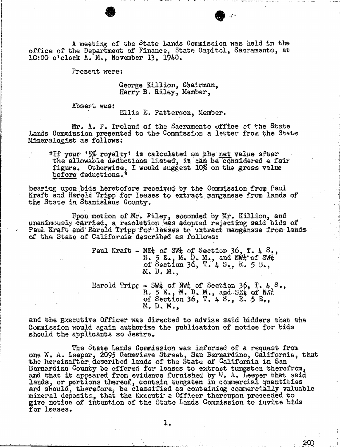A meeting of the State Lands Commission was held in the office of the Department of Finance, State Capitol, Sacramento, at 10:00 o'clock A. M., November 13, 1940.

Present were:

George Killion, Chairman, Harry B. Riley, Member,

Absers was:

Ellis E. Patterson, Member.

Mr. A. P. Ireland of the Sacramento office of the State Lands Commission presented to the Commission a letter from the State Mineralogist as follows:

"If your '5% royalty' is calculated on the net value after the allowable deductions listed, it can be considered a fair figure. Otherwise, I would suggest 10% on the gross value before deductions."

bearing upon bids heretofore received by the Commission from Paul Kraft and Harold Tripp for leases to extract manganese from lands of the State in Stanislaus County.

Upon motion of Mr. Riley, sweended by Mr. Killion, and unanimously carried, a resolution was adopted rejecting said bids of Paul Kraft and Harold Tripp for leases to extract manganese from lands of the State of California described as follows:

> Paul Kraft - NEt, of SW, of Section 36, T. 4  $S_{\bullet}$ , R. 5 E., M. D. M., and NWt' of SWt.<br>of Section 36, T. 4 S., R. 5 E., M. D. M. ,

Harold Tripp - SWA of NWt of Section 36, T. 4, S., R. 5 E., M. D. M., and SEt of NWt<br>of Section 36, T. 4 S., R. 5 E., M. D. M. ,

and the Executive Officer was directed to advise said bidders that the Commission would again authorize the publication of notice for bids should the applicants so desire.

The State Lands Commission was informed of a request from one W. A. Leeper, 2095 Genevieve Street, San Bernardino, California, that the hereinafter described lands of the State of Calif Bernardino County be offered for leases to extract tungsten therefrom, and that it appeared from evidence furnished by  $W_t$ . A. Leeper lands, or portions thereof, contain tungsten in commercial  $q$ and should, therefore, be classified as containing commercial mineral deposits, that the Executi a Ufficer thereupon p give notice of intention of the State Lands Commission to invite bids for leases.

1.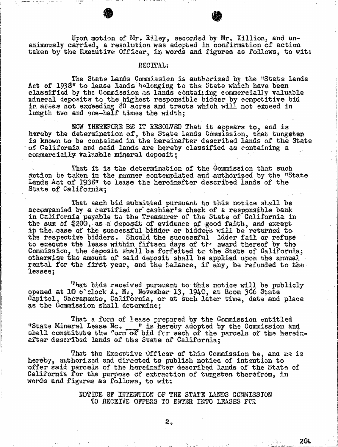Upon motion of Mr. Riley, seconded by Mr. Killion animously carried, a resolution was adopted in confirmation taken by the Executive Officer, in words and figures as follows, to wit:

## RECITAL:

The State Lands Commission is authorized by the "<br>Act of 1938" to lease lands belonging to the State which have classified by the Commission as lands containing commercially mineral deposits to the highest responsible bidder by competitive bid in areas not exceeding 80 acres and tracts which will not exceed in longth two and one-half times the width:

NOW THEREFORE BE IT RESOLVED That it appears to, and is hareby the determination of, the State Lands Commission, that is known to be contained in the hereinafter described lands of California and said lands are hereby classified as containing a commercially valuable mineral deposit;

That it is the determination of the Commission that such action be taken in the manner contemplated and authorized by the "State Lands Act of 1938" to lease the hereinafter described lands of the State of California;

That each bid submitted pursuant to this notice shall be accompanied by a certified or cashier's check of a responsible bank in California payable to the Treasurer of the State of California in in California payable to the Treasurer of the State of California in the sum of  $$200$ , as a deposit of evidence of good faith, and  $$200$ in the case of the successful bidder or bidders will be the respective bidders. Should the successful . Adder fail to execute the lease within fifteen days of the award there Commission, the deposit shall be forfeited to the State of California; otherwise the amount of said deposit shall be applied upon the annual rental for the first year, and the balance, if any, be refunded to the lassee;

That bids received pursuant to this notice will be publicly opened at 10 o'clock  $A$ . M., November 13, 1940, at Room 306 State Capitol, Sacramento, California, or at such later time, date and place as the Commission shall determine;

That a form of lease prepared by the Commission entitled<br>"State Mineral Lease Nc. \_\_\_" is hereby adopted by the Commission and<br>shall constitute the form of bid for each of the parcels of the hereinafter described lands of the State of California;

That the Executive Officer of this Commission be, and he is hereby, authorized and directed to publish notice of intention to offer said parcels of the hereinafter described lands of the State of California for the purpose of extraction of tungsten therefrom, in words and figures as follows, to wit:

> NOTICE OF INTENTION OF THE STATE LANDS COMMISSION TO RECEIVE OFFERS TO ENTER INTO LEASES FOR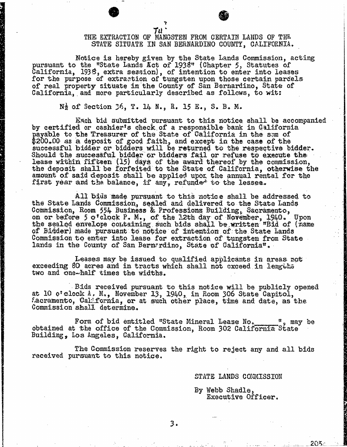## Tu THE EXTRACTION OF MANGSTEN FROM CERTAIN LANDS OF THE STATE SITUATE IN SAN BERNARDINO COUNTY, CALIFORNIA.

Notice is hereby given by the State Lands Commission, acting pursuant to the "State Lands Act of 1938" (Chapter 5, Statutes of California, 1938, extra session), of intention to enter into leases for the purpose of extraction of tungsten upon those certain parcels of real property situate in the County of San Bernardino, State of California, and more particularly described as follows, to wit:

 $N_2^1$  of Section  $36$ , T. 14 N., R. 15 E., S. B. M.

Bach bid submitted pursuant to this notice shall be accompanied by certified or cashier's check of a responsible bank in California payable to the Treasurer of the State of California in the sum of  $200$ .00 as a deposit of good faith, and except in the case of the successful bidder or bidders will be returned to the respective bidder. Should the successful bidder or bidders fail or refuse to lease within fifteen  $(15)$  days of the award thereof by the the deposit shall be forfeited to the State of California, otherwise the amount of said deposit shall be applied upon the annual rental for the first year and the balance, if any, refunded to the lessee.

All bids made pursuant to this notice shall be addressed to the State Lands Commission, sealed and delivered to the State Lands Commission, Room 554 Business & Professions Building, Sacramento, on or before 5 o'clock P. M., of the 12th day of November, the sealed envelope containing such bids shall be written "Bid of  $f_0$ "  $f_1$ of Bidder) made pursuant to notice of intention of the State Lands Commission to enter into lease for extraction of tungsten from State lands in the County of San Bernardino, State of California".

Leases may be issued to qualified applicants in areas not exceeding 80 acres and in tracts which shall not exceed in lengths two and one-half times the widths.

.Bids received pursuant to this notice will be publicly opened at 10 o'clock A, M., November 13, 1940, in Room 306 State Capitol, Sacramento, California, or at such other place, time and date, as the Commission shall determine.

Form of bid entitled "State Mineral Lease No. 4 may be obtained at the office of the Commission, Room 302 California State Building, Los Angeles, California.

The Commission reserves the right to reject any and all bids received pursuant to this notice.

STATE LANDS COMMISSION

By Webb Shadle, Executive Officer.

205-

3.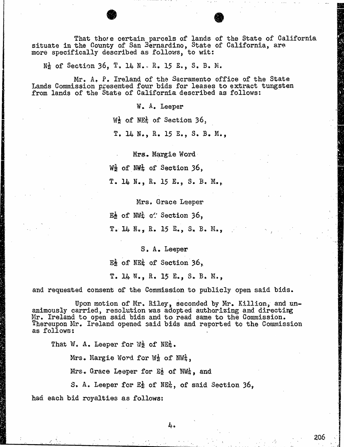That those certain parcels of lands of the State of California situate in the County of San Bernardino, State of California, are more specifically described as follows, to wit:

 $N_Z$  of Section 36, T. 14 N. - R. 15 E., S. B. M.

Mr. A. P. Ireland of the Sacramento office of the State Lands Commission presented four bids for leases to extract tungsten from lands of the State of California described as follows:

W. A. Leeper

 $W_2$  of  $W_2$  of Section 36,

T. 14 N., R. 15 E., S. B. M.,

Mrs. Margie Word

 $W_2$  of  $W_4$  of Section 36,

T. 14 N., R. 15 E., S. B. M.,

Mrs. Grace Leeper

Ed of NWt of Section 36,

C. 14 N., R. 15 E., S. B. M.,

S. A. Leeper

El of NEt of Section 36, T. 14 N., R. 15 E., S. B. M.,

and requested consent of the Commission to publicly open said bids.

Upon motion of Mr. Riley, seconded by Mr. Killion, and un- animously carried, resolution was adopted authorizing and directing Mr. Ireland to open said bids and to read same to the Commission, Thereupon Mr. Ireland opened said bids and reported to the Commission as follows:

That W. A. Leeper for  $\mathbb{W}_{2}$  of  $\mathbb{NE}_{\mathbb{Z}}^{1}$ .

Mrs. Margie Word for W2 of NWt,

Mrs. Grace Leeper for  $E_2$  of  $NWh$ , and

S. A. Leeper for Eg of NE<sub>4</sub>, of said Section 36,

had each bid royalties as follows: